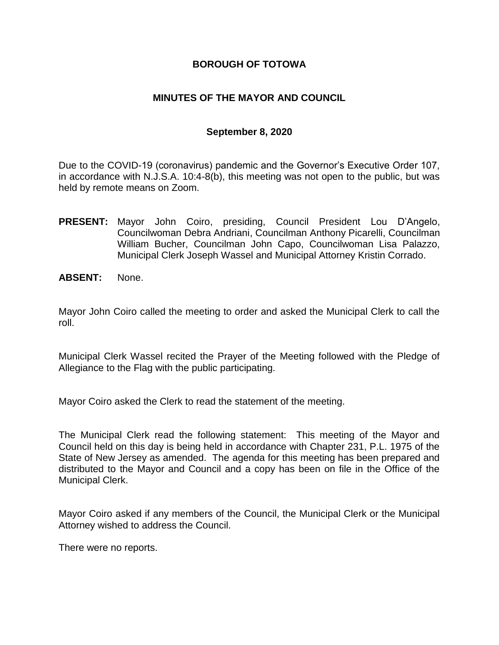## **BOROUGH OF TOTOWA**

## **MINUTES OF THE MAYOR AND COUNCIL**

## **September 8, 2020**

Due to the COVID-19 (coronavirus) pandemic and the Governor's Executive Order 107, in accordance with N.J.S.A. 10:4-8(b), this meeting was not open to the public, but was held by remote means on Zoom.

- **PRESENT:** Mayor John Coiro, presiding, Council President Lou D'Angelo, Councilwoman Debra Andriani, Councilman Anthony Picarelli, Councilman William Bucher, Councilman John Capo, Councilwoman Lisa Palazzo, Municipal Clerk Joseph Wassel and Municipal Attorney Kristin Corrado.
- **ABSENT:** None.

Mayor John Coiro called the meeting to order and asked the Municipal Clerk to call the roll.

Municipal Clerk Wassel recited the Prayer of the Meeting followed with the Pledge of Allegiance to the Flag with the public participating.

Mayor Coiro asked the Clerk to read the statement of the meeting.

The Municipal Clerk read the following statement: This meeting of the Mayor and Council held on this day is being held in accordance with Chapter 231, P.L. 1975 of the State of New Jersey as amended. The agenda for this meeting has been prepared and distributed to the Mayor and Council and a copy has been on file in the Office of the Municipal Clerk.

Mayor Coiro asked if any members of the Council, the Municipal Clerk or the Municipal Attorney wished to address the Council.

There were no reports.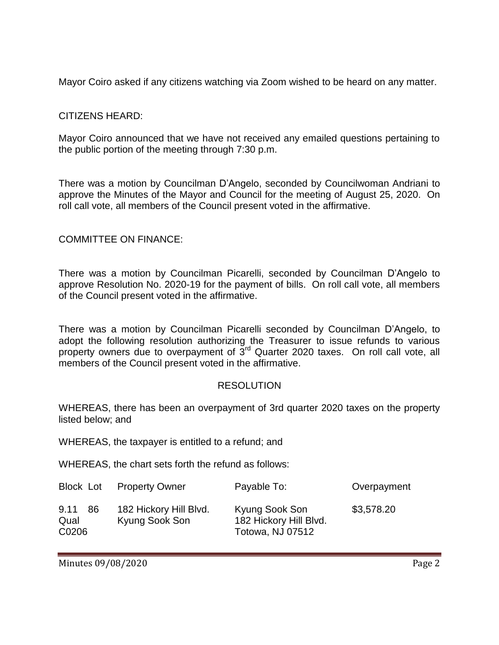Mayor Coiro asked if any citizens watching via Zoom wished to be heard on any matter.

## CITIZENS HEARD:

Mayor Coiro announced that we have not received any emailed questions pertaining to the public portion of the meeting through 7:30 p.m.

There was a motion by Councilman D'Angelo, seconded by Councilwoman Andriani to approve the Minutes of the Mayor and Council for the meeting of August 25, 2020. On roll call vote, all members of the Council present voted in the affirmative.

## COMMITTEE ON FINANCE:

There was a motion by Councilman Picarelli, seconded by Councilman D'Angelo to approve Resolution No. 2020-19 for the payment of bills. On roll call vote, all members of the Council present voted in the affirmative.

There was a motion by Councilman Picarelli seconded by Councilman D'Angelo, to adopt the following resolution authorizing the Treasurer to issue refunds to various property owners due to overpayment of 3<sup>rd</sup> Quarter 2020 taxes. On roll call vote, all members of the Council present voted in the affirmative.

## RESOLUTION

WHEREAS, there has been an overpayment of 3rd quarter 2020 taxes on the property listed below; and

WHEREAS, the taxpayer is entitled to a refund; and

WHEREAS, the chart sets forth the refund as follows:

| Block Lot                    | <b>Property Owner</b>                    | Payable To:                                                  | Overpayment |
|------------------------------|------------------------------------------|--------------------------------------------------------------|-------------|
| 9.11<br>-86<br>Qual<br>C0206 | 182 Hickory Hill Blvd.<br>Kyung Sook Son | Kyung Sook Son<br>182 Hickory Hill Blvd.<br>Totowa, NJ 07512 | \$3,578.20  |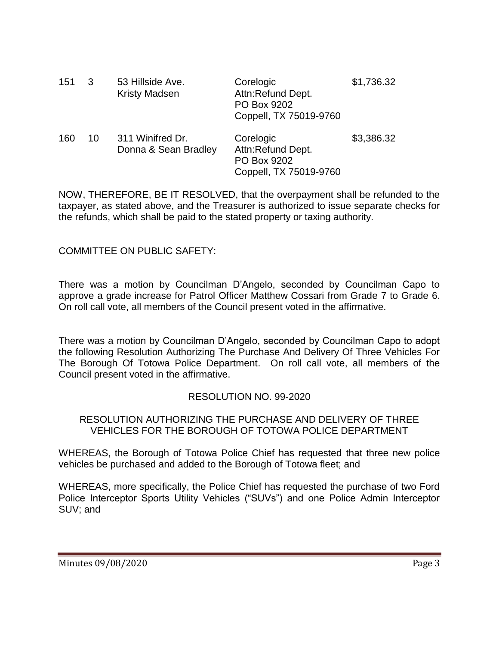| 151 | $\mathbf{3}$ | 53 Hillside Ave.<br><b>Kristy Madsen</b> | Corelogic<br>Attn:Refund Dept.<br>PO Box 9202<br>Coppell, TX 75019-9760 | \$1,736.32 |
|-----|--------------|------------------------------------------|-------------------------------------------------------------------------|------------|
| 160 | 10           | 311 Winifred Dr.<br>Donna & Sean Bradley | Corelogic<br>Attn:Refund Dept.<br>PO Box 9202<br>Coppell, TX 75019-9760 | \$3,386.32 |

NOW, THEREFORE, BE IT RESOLVED, that the overpayment shall be refunded to the taxpayer, as stated above, and the Treasurer is authorized to issue separate checks for the refunds, which shall be paid to the stated property or taxing authority.

COMMITTEE ON PUBLIC SAFETY:

There was a motion by Councilman D'Angelo, seconded by Councilman Capo to approve a grade increase for Patrol Officer Matthew Cossari from Grade 7 to Grade 6. On roll call vote, all members of the Council present voted in the affirmative.

There was a motion by Councilman D'Angelo, seconded by Councilman Capo to adopt the following Resolution Authorizing The Purchase And Delivery Of Three Vehicles For The Borough Of Totowa Police Department. On roll call vote, all members of the Council present voted in the affirmative.

# RESOLUTION NO. 99-2020

## RESOLUTION AUTHORIZING THE PURCHASE AND DELIVERY OF THREE VEHICLES FOR THE BOROUGH OF TOTOWA POLICE DEPARTMENT

WHEREAS, the Borough of Totowa Police Chief has requested that three new police vehicles be purchased and added to the Borough of Totowa fleet; and

WHEREAS, more specifically, the Police Chief has requested the purchase of two Ford Police Interceptor Sports Utility Vehicles ("SUVs") and one Police Admin Interceptor SUV; and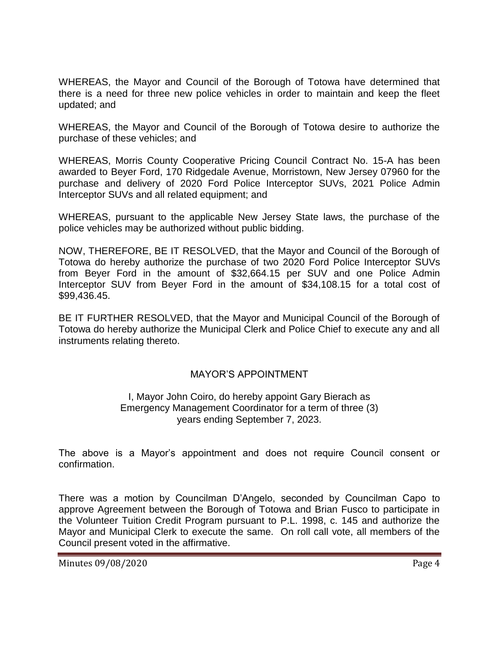WHEREAS, the Mayor and Council of the Borough of Totowa have determined that there is a need for three new police vehicles in order to maintain and keep the fleet updated; and

WHEREAS, the Mayor and Council of the Borough of Totowa desire to authorize the purchase of these vehicles; and

WHEREAS, Morris County Cooperative Pricing Council Contract No. 15-A has been awarded to Beyer Ford, 170 Ridgedale Avenue, Morristown, New Jersey 07960 for the purchase and delivery of 2020 Ford Police Interceptor SUVs, 2021 Police Admin Interceptor SUVs and all related equipment; and

WHEREAS, pursuant to the applicable New Jersey State laws, the purchase of the police vehicles may be authorized without public bidding.

NOW, THEREFORE, BE IT RESOLVED, that the Mayor and Council of the Borough of Totowa do hereby authorize the purchase of two 2020 Ford Police Interceptor SUVs from Beyer Ford in the amount of \$32,664.15 per SUV and one Police Admin Interceptor SUV from Beyer Ford in the amount of \$34,108.15 for a total cost of \$99,436.45.

BE IT FURTHER RESOLVED, that the Mayor and Municipal Council of the Borough of Totowa do hereby authorize the Municipal Clerk and Police Chief to execute any and all instruments relating thereto.

## MAYOR'S APPOINTMENT

#### I, Mayor John Coiro, do hereby appoint Gary Bierach as Emergency Management Coordinator for a term of three (3) years ending September 7, 2023.

The above is a Mayor's appointment and does not require Council consent or confirmation.

There was a motion by Councilman D'Angelo, seconded by Councilman Capo to approve Agreement between the Borough of Totowa and Brian Fusco to participate in the Volunteer Tuition Credit Program pursuant to P.L. 1998, c. 145 and authorize the Mayor and Municipal Clerk to execute the same. On roll call vote, all members of the Council present voted in the affirmative.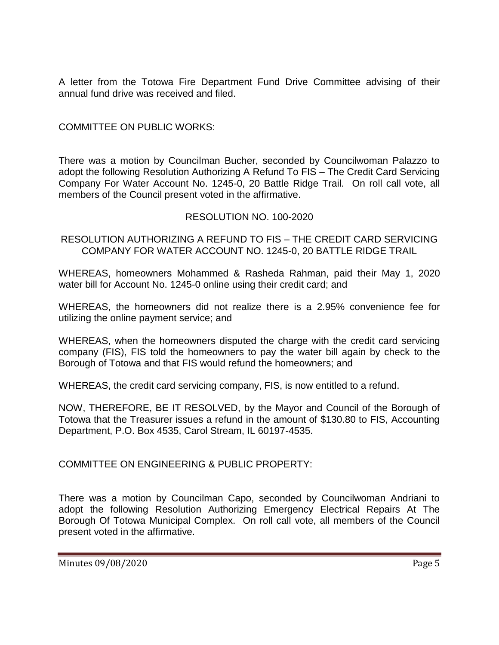A letter from the Totowa Fire Department Fund Drive Committee advising of their annual fund drive was received and filed.

COMMITTEE ON PUBLIC WORKS:

There was a motion by Councilman Bucher, seconded by Councilwoman Palazzo to adopt the following Resolution Authorizing A Refund To FIS – The Credit Card Servicing Company For Water Account No. 1245-0, 20 Battle Ridge Trail. On roll call vote, all members of the Council present voted in the affirmative.

## RESOLUTION NO. 100-2020

RESOLUTION AUTHORIZING A REFUND TO FIS – THE CREDIT CARD SERVICING COMPANY FOR WATER ACCOUNT NO. 1245-0, 20 BATTLE RIDGE TRAIL

WHEREAS, homeowners Mohammed & Rasheda Rahman, paid their May 1, 2020 water bill for Account No. 1245-0 online using their credit card; and

WHEREAS, the homeowners did not realize there is a 2.95% convenience fee for utilizing the online payment service; and

WHEREAS, when the homeowners disputed the charge with the credit card servicing company (FIS), FIS told the homeowners to pay the water bill again by check to the Borough of Totowa and that FIS would refund the homeowners; and

WHEREAS, the credit card servicing company, FIS, is now entitled to a refund.

NOW, THEREFORE, BE IT RESOLVED, by the Mayor and Council of the Borough of Totowa that the Treasurer issues a refund in the amount of \$130.80 to FIS, Accounting Department, P.O. Box 4535, Carol Stream, IL 60197-4535.

COMMITTEE ON ENGINEERING & PUBLIC PROPERTY:

There was a motion by Councilman Capo, seconded by Councilwoman Andriani to adopt the following Resolution Authorizing Emergency Electrical Repairs At The Borough Of Totowa Municipal Complex. On roll call vote, all members of the Council present voted in the affirmative.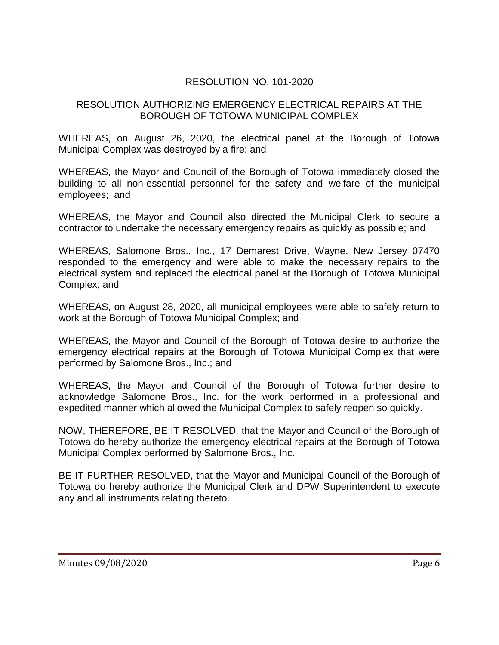# RESOLUTION NO. 101-2020

## RESOLUTION AUTHORIZING EMERGENCY ELECTRICAL REPAIRS AT THE BOROUGH OF TOTOWA MUNICIPAL COMPLEX

WHEREAS, on August 26, 2020, the electrical panel at the Borough of Totowa Municipal Complex was destroyed by a fire; and

WHEREAS, the Mayor and Council of the Borough of Totowa immediately closed the building to all non-essential personnel for the safety and welfare of the municipal employees; and

WHEREAS, the Mayor and Council also directed the Municipal Clerk to secure a contractor to undertake the necessary emergency repairs as quickly as possible; and

WHEREAS, Salomone Bros., Inc., 17 Demarest Drive, Wayne, New Jersey 07470 responded to the emergency and were able to make the necessary repairs to the electrical system and replaced the electrical panel at the Borough of Totowa Municipal Complex; and

WHEREAS, on August 28, 2020, all municipal employees were able to safely return to work at the Borough of Totowa Municipal Complex; and

WHEREAS, the Mayor and Council of the Borough of Totowa desire to authorize the emergency electrical repairs at the Borough of Totowa Municipal Complex that were performed by Salomone Bros., Inc.; and

WHEREAS, the Mayor and Council of the Borough of Totowa further desire to acknowledge Salomone Bros., Inc. for the work performed in a professional and expedited manner which allowed the Municipal Complex to safely reopen so quickly.

NOW, THEREFORE, BE IT RESOLVED, that the Mayor and Council of the Borough of Totowa do hereby authorize the emergency electrical repairs at the Borough of Totowa Municipal Complex performed by Salomone Bros., Inc.

BE IT FURTHER RESOLVED, that the Mayor and Municipal Council of the Borough of Totowa do hereby authorize the Municipal Clerk and DPW Superintendent to execute any and all instruments relating thereto.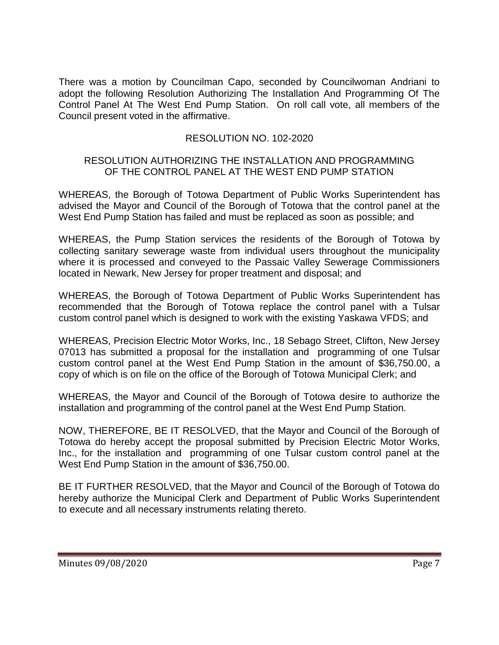There was a motion by Councilman Capo, seconded by Councilwoman Andriani to adopt the following Resolution Authorizing The Installation And Programming Of The Control Panel At The West End Pump Station. On roll call vote, all members of the Council present voted in the affirmative.

# RESOLUTION NO. 102-2020

## RESOLUTION AUTHORIZING THE INSTALLATION AND PROGRAMMING OF THE CONTROL PANEL AT THE WEST END PUMP STATION

WHEREAS, the Borough of Totowa Department of Public Works Superintendent has advised the Mayor and Council of the Borough of Totowa that the control panel at the West End Pump Station has failed and must be replaced as soon as possible; and

WHEREAS, the Pump Station services the residents of the Borough of Totowa by collecting sanitary sewerage waste from individual users throughout the municipality where it is processed and conveyed to the Passaic Valley Sewerage Commissioners located in Newark, New Jersey for proper treatment and disposal; and

WHEREAS, the Borough of Totowa Department of Public Works Superintendent has recommended that the Borough of Totowa replace the control panel with a Tulsar custom control panel which is designed to work with the existing Yaskawa VFDS; and

WHEREAS, Precision Electric Motor Works, Inc., 18 Sebago Street, Clifton, New Jersey 07013 has submitted a proposal for the installation and programming of one Tulsar custom control panel at the West End Pump Station in the amount of \$36,750.00, a copy of which is on file on the office of the Borough of Totowa Municipal Clerk; and

WHEREAS, the Mayor and Council of the Borough of Totowa desire to authorize the installation and programming of the control panel at the West End Pump Station.

NOW, THEREFORE, BE IT RESOLVED, that the Mayor and Council of the Borough of Totowa do hereby accept the proposal submitted by Precision Electric Motor Works, Inc., for the installation and programming of one Tulsar custom control panel at the West End Pump Station in the amount of \$36,750.00.

BE IT FURTHER RESOLVED, that the Mayor and Council of the Borough of Totowa do hereby authorize the Municipal Clerk and Department of Public Works Superintendent to execute and all necessary instruments relating thereto.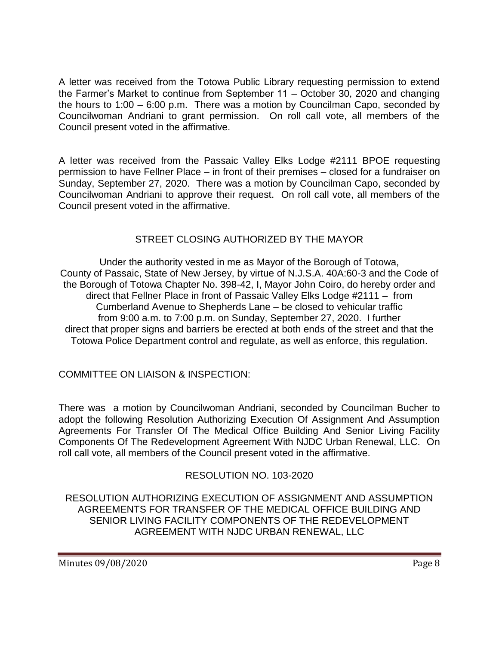A letter was received from the Totowa Public Library requesting permission to extend the Farmer's Market to continue from September 11 – October 30, 2020 and changing the hours to 1:00 – 6:00 p.m. There was a motion by Councilman Capo, seconded by Councilwoman Andriani to grant permission. On roll call vote, all members of the Council present voted in the affirmative.

A letter was received from the Passaic Valley Elks Lodge #2111 BPOE requesting permission to have Fellner Place – in front of their premises – closed for a fundraiser on Sunday, September 27, 2020. There was a motion by Councilman Capo, seconded by Councilwoman Andriani to approve their request. On roll call vote, all members of the Council present voted in the affirmative.

# STREET CLOSING AUTHORIZED BY THE MAYOR

Under the authority vested in me as Mayor of the Borough of Totowa, County of Passaic, State of New Jersey, by virtue of N.J.S.A. 40A:60-3 and the Code of the Borough of Totowa Chapter No. 398-42, I, Mayor John Coiro, do hereby order and direct that Fellner Place in front of Passaic Valley Elks Lodge #2111 – from Cumberland Avenue to Shepherds Lane – be closed to vehicular traffic from 9:00 a.m. to 7:00 p.m. on Sunday, September 27, 2020. I further direct that proper signs and barriers be erected at both ends of the street and that the Totowa Police Department control and regulate, as well as enforce, this regulation.

COMMITTEE ON LIAISON & INSPECTION:

There was a motion by Councilwoman Andriani, seconded by Councilman Bucher to adopt the following Resolution Authorizing Execution Of Assignment And Assumption Agreements For Transfer Of The Medical Office Building And Senior Living Facility Components Of The Redevelopment Agreement With NJDC Urban Renewal, LLC. On roll call vote, all members of the Council present voted in the affirmative.

# RESOLUTION NO. 103-2020

RESOLUTION AUTHORIZING EXECUTION OF ASSIGNMENT AND ASSUMPTION AGREEMENTS FOR TRANSFER OF THE MEDICAL OFFICE BUILDING AND SENIOR LIVING FACILITY COMPONENTS OF THE REDEVELOPMENT AGREEMENT WITH NJDC URBAN RENEWAL, LLC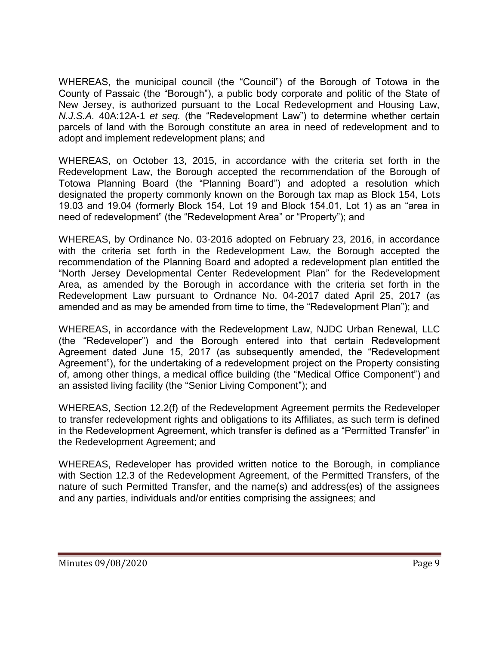WHEREAS, the municipal council (the "Council") of the Borough of Totowa in the County of Passaic (the "Borough"), a public body corporate and politic of the State of New Jersey, is authorized pursuant to the Local Redevelopment and Housing Law, *N.J.S.A.* 40A:12A-1 *et seq.* (the "Redevelopment Law") to determine whether certain parcels of land with the Borough constitute an area in need of redevelopment and to adopt and implement redevelopment plans; and

WHEREAS, on October 13, 2015, in accordance with the criteria set forth in the Redevelopment Law, the Borough accepted the recommendation of the Borough of Totowa Planning Board (the "Planning Board") and adopted a resolution which designated the property commonly known on the Borough tax map as Block 154, Lots 19.03 and 19.04 (formerly Block 154, Lot 19 and Block 154.01, Lot 1) as an "area in need of redevelopment" (the "Redevelopment Area" or "Property"); and

WHEREAS, by Ordinance No. 03-2016 adopted on February 23, 2016, in accordance with the criteria set forth in the Redevelopment Law, the Borough accepted the recommendation of the Planning Board and adopted a redevelopment plan entitled the "North Jersey Developmental Center Redevelopment Plan" for the Redevelopment Area, as amended by the Borough in accordance with the criteria set forth in the Redevelopment Law pursuant to Ordnance No. 04-2017 dated April 25, 2017 (as amended and as may be amended from time to time, the "Redevelopment Plan"); and

WHEREAS, in accordance with the Redevelopment Law, NJDC Urban Renewal, LLC (the "Redeveloper") and the Borough entered into that certain Redevelopment Agreement dated June 15, 2017 (as subsequently amended, the "Redevelopment Agreement"), for the undertaking of a redevelopment project on the Property consisting of, among other things, a medical office building (the "Medical Office Component") and an assisted living facility (the "Senior Living Component"); and

WHEREAS, Section 12.2(f) of the Redevelopment Agreement permits the Redeveloper to transfer redevelopment rights and obligations to its Affiliates, as such term is defined in the Redevelopment Agreement, which transfer is defined as a "Permitted Transfer" in the Redevelopment Agreement; and

WHEREAS, Redeveloper has provided written notice to the Borough, in compliance with Section 12.3 of the Redevelopment Agreement, of the Permitted Transfers, of the nature of such Permitted Transfer, and the name(s) and address(es) of the assignees and any parties, individuals and/or entities comprising the assignees; and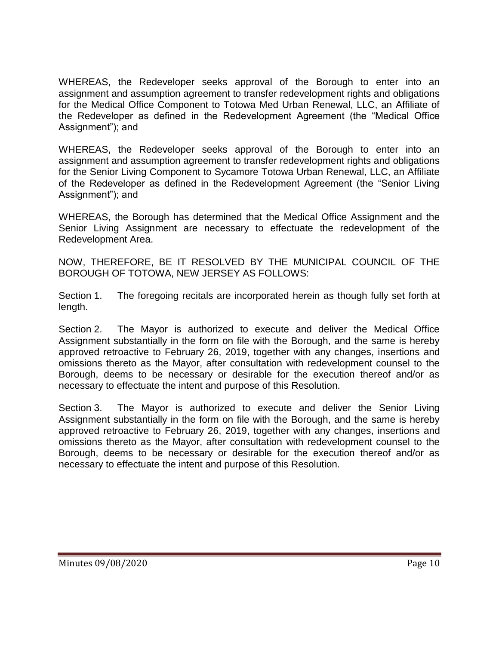WHEREAS, the Redeveloper seeks approval of the Borough to enter into an assignment and assumption agreement to transfer redevelopment rights and obligations for the Medical Office Component to Totowa Med Urban Renewal, LLC, an Affiliate of the Redeveloper as defined in the Redevelopment Agreement (the "Medical Office Assignment"); and

WHEREAS, the Redeveloper seeks approval of the Borough to enter into an assignment and assumption agreement to transfer redevelopment rights and obligations for the Senior Living Component to Sycamore Totowa Urban Renewal, LLC, an Affiliate of the Redeveloper as defined in the Redevelopment Agreement (the "Senior Living Assignment"); and

WHEREAS, the Borough has determined that the Medical Office Assignment and the Senior Living Assignment are necessary to effectuate the redevelopment of the Redevelopment Area.

NOW, THEREFORE, BE IT RESOLVED BY THE MUNICIPAL COUNCIL OF THE BOROUGH OF TOTOWA, NEW JERSEY AS FOLLOWS:

Section 1. The foregoing recitals are incorporated herein as though fully set forth at length.

Section 2. The Mayor is authorized to execute and deliver the Medical Office Assignment substantially in the form on file with the Borough, and the same is hereby approved retroactive to February 26, 2019, together with any changes, insertions and omissions thereto as the Mayor, after consultation with redevelopment counsel to the Borough, deems to be necessary or desirable for the execution thereof and/or as necessary to effectuate the intent and purpose of this Resolution.

Section 3. The Mayor is authorized to execute and deliver the Senior Living Assignment substantially in the form on file with the Borough, and the same is hereby approved retroactive to February 26, 2019, together with any changes, insertions and omissions thereto as the Mayor, after consultation with redevelopment counsel to the Borough, deems to be necessary or desirable for the execution thereof and/or as necessary to effectuate the intent and purpose of this Resolution.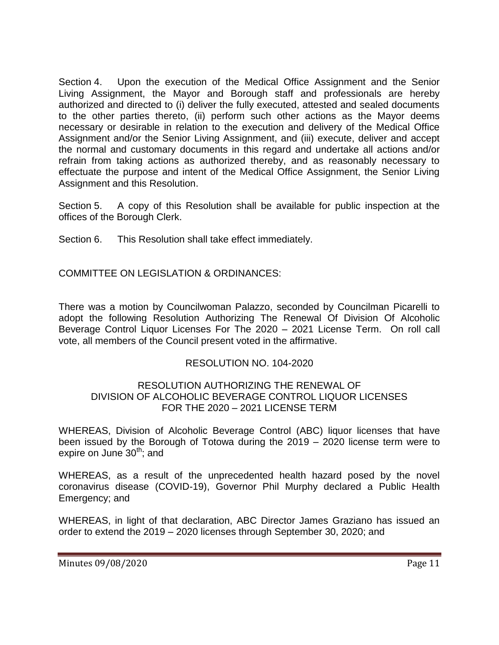Section 4. Upon the execution of the Medical Office Assignment and the Senior Living Assignment, the Mayor and Borough staff and professionals are hereby authorized and directed to (i) deliver the fully executed, attested and sealed documents to the other parties thereto, (ii) perform such other actions as the Mayor deems necessary or desirable in relation to the execution and delivery of the Medical Office Assignment and/or the Senior Living Assignment, and (iii) execute, deliver and accept the normal and customary documents in this regard and undertake all actions and/or refrain from taking actions as authorized thereby, and as reasonably necessary to effectuate the purpose and intent of the Medical Office Assignment, the Senior Living Assignment and this Resolution.

Section 5. A copy of this Resolution shall be available for public inspection at the offices of the Borough Clerk.

Section 6. This Resolution shall take effect immediately.

COMMITTEE ON LEGISLATION & ORDINANCES:

There was a motion by Councilwoman Palazzo, seconded by Councilman Picarelli to adopt the following Resolution Authorizing The Renewal Of Division Of Alcoholic Beverage Control Liquor Licenses For The 2020 – 2021 License Term. On roll call vote, all members of the Council present voted in the affirmative.

## RESOLUTION NO. 104-2020

## RESOLUTION AUTHORIZING THE RENEWAL OF DIVISION OF ALCOHOLIC BEVERAGE CONTROL LIQUOR LICENSES FOR THE 2020 – 2021 LICENSE TERM

WHEREAS, Division of Alcoholic Beverage Control (ABC) liquor licenses that have been issued by the Borough of Totowa during the 2019 – 2020 license term were to expire on June  $30<sup>th</sup>$ ; and

WHEREAS, as a result of the unprecedented health hazard posed by the novel coronavirus disease (COVID-19), Governor Phil Murphy declared a Public Health Emergency; and

WHEREAS, in light of that declaration, ABC Director James Graziano has issued an order to extend the 2019 – 2020 licenses through September 30, 2020; and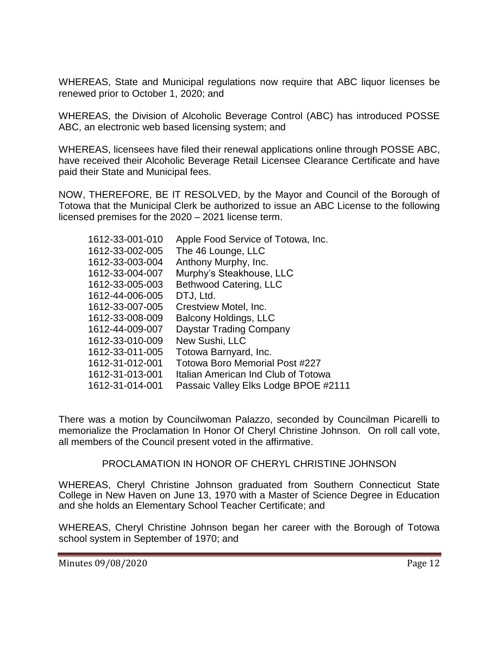WHEREAS, State and Municipal regulations now require that ABC liquor licenses be renewed prior to October 1, 2020; and

WHEREAS, the Division of Alcoholic Beverage Control (ABC) has introduced POSSE ABC, an electronic web based licensing system; and

WHEREAS, licensees have filed their renewal applications online through POSSE ABC, have received their Alcoholic Beverage Retail Licensee Clearance Certificate and have paid their State and Municipal fees.

NOW, THEREFORE, BE IT RESOLVED, by the Mayor and Council of the Borough of Totowa that the Municipal Clerk be authorized to issue an ABC License to the following licensed premises for the 2020 – 2021 license term.

| 1612-33-001-010 | Apple Food Service of Totowa, Inc.    |
|-----------------|---------------------------------------|
| 1612-33-002-005 | The 46 Lounge, LLC                    |
| 1612-33-003-004 | Anthony Murphy, Inc.                  |
| 1612-33-004-007 | Murphy's Steakhouse, LLC              |
| 1612-33-005-003 | Bethwood Catering, LLC                |
| 1612-44-006-005 | DTJ, Ltd.                             |
| 1612-33-007-005 | Crestview Motel, Inc.                 |
| 1612-33-008-009 | <b>Balcony Holdings, LLC</b>          |
| 1612-44-009-007 | Daystar Trading Company               |
| 1612-33-010-009 | New Sushi, LLC                        |
| 1612-33-011-005 | Totowa Barnyard, Inc.                 |
| 1612-31-012-001 | <b>Totowa Boro Memorial Post #227</b> |
| 1612-31-013-001 | Italian American Ind Club of Totowa   |
| 1612-31-014-001 | Passaic Valley Elks Lodge BPOE #2111  |

There was a motion by Councilwoman Palazzo, seconded by Councilman Picarelli to memorialize the Proclamation In Honor Of Cheryl Christine Johnson. On roll call vote, all members of the Council present voted in the affirmative.

PROCLAMATION IN HONOR OF CHERYL CHRISTINE JOHNSON

WHEREAS, Cheryl Christine Johnson graduated from Southern Connecticut State College in New Haven on June 13, 1970 with a Master of Science Degree in Education and she holds an Elementary School Teacher Certificate; and

WHEREAS, Cheryl Christine Johnson began her career with the Borough of Totowa school system in September of 1970; and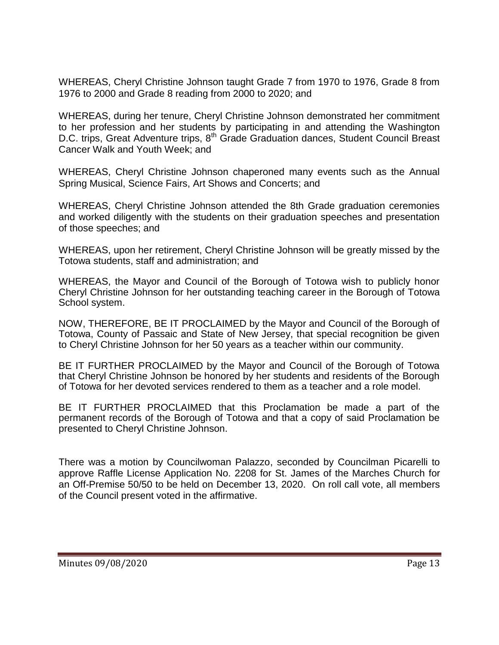WHEREAS, Cheryl Christine Johnson taught Grade 7 from 1970 to 1976, Grade 8 from 1976 to 2000 and Grade 8 reading from 2000 to 2020; and

WHEREAS, during her tenure, Cheryl Christine Johnson demonstrated her commitment to her profession and her students by participating in and attending the Washington D.C. trips, Great Adventure trips, 8<sup>th</sup> Grade Graduation dances, Student Council Breast Cancer Walk and Youth Week; and

WHEREAS, Cheryl Christine Johnson chaperoned many events such as the Annual Spring Musical, Science Fairs, Art Shows and Concerts; and

WHEREAS, Cheryl Christine Johnson attended the 8th Grade graduation ceremonies and worked diligently with the students on their graduation speeches and presentation of those speeches; and

WHEREAS, upon her retirement, Cheryl Christine Johnson will be greatly missed by the Totowa students, staff and administration; and

WHEREAS, the Mayor and Council of the Borough of Totowa wish to publicly honor Cheryl Christine Johnson for her outstanding teaching career in the Borough of Totowa School system.

NOW, THEREFORE, BE IT PROCLAIMED by the Mayor and Council of the Borough of Totowa, County of Passaic and State of New Jersey, that special recognition be given to Cheryl Christine Johnson for her 50 years as a teacher within our community.

BE IT FURTHER PROCLAIMED by the Mayor and Council of the Borough of Totowa that Cheryl Christine Johnson be honored by her students and residents of the Borough of Totowa for her devoted services rendered to them as a teacher and a role model.

BE IT FURTHER PROCLAIMED that this Proclamation be made a part of the permanent records of the Borough of Totowa and that a copy of said Proclamation be presented to Cheryl Christine Johnson.

There was a motion by Councilwoman Palazzo, seconded by Councilman Picarelli to approve Raffle License Application No. 2208 for St. James of the Marches Church for an Off-Premise 50/50 to be held on December 13, 2020. On roll call vote, all members of the Council present voted in the affirmative.